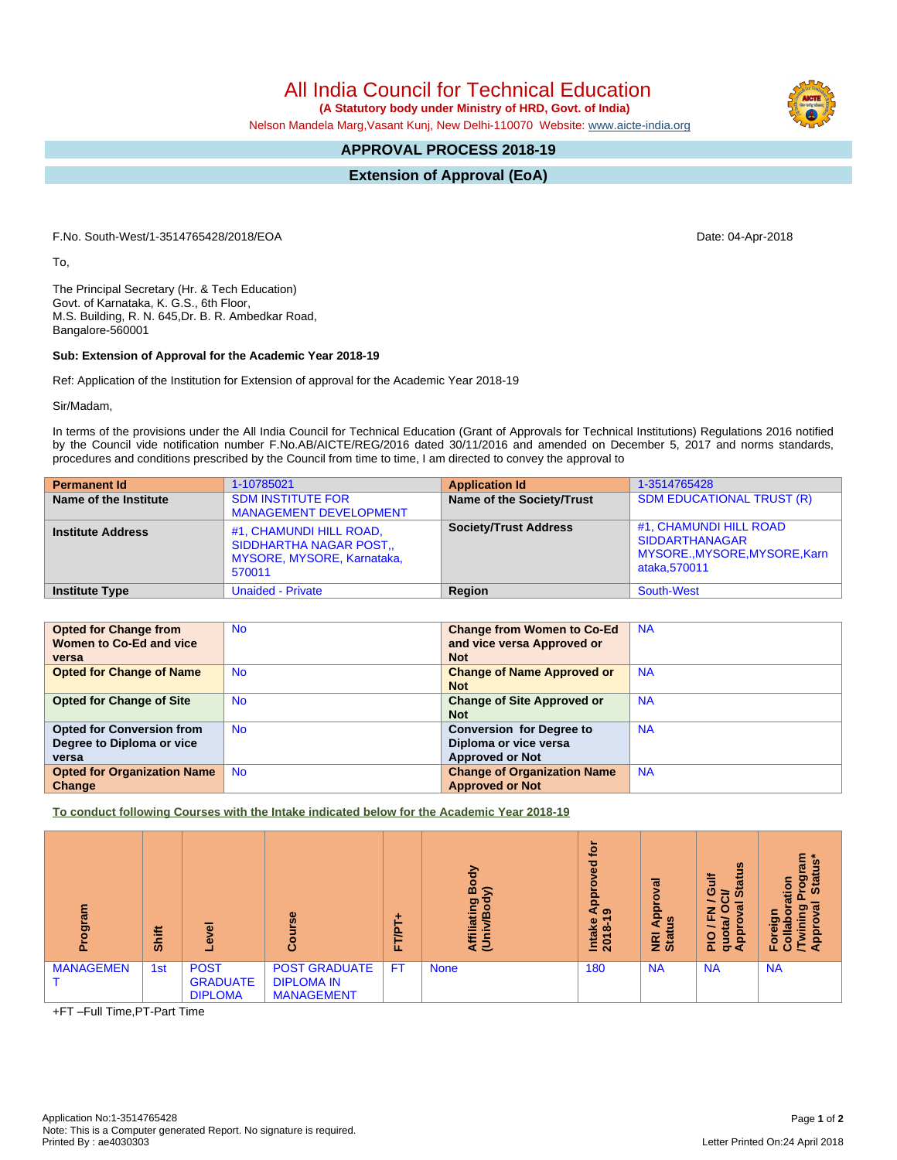All India Council for Technical Education

 **(A Statutory body under Ministry of HRD, Govt. of India)**

Nelson Mandela Marg,Vasant Kunj, New Delhi-110070 Website: [www.aicte-india.org](http://www.aicte-india.org)

## **APPROVAL PROCESS 2018-19**

**Extension of Approval (EoA)**

F.No. South-West/1-3514765428/2018/EOA Date: 04-Apr-2018

To,

The Principal Secretary (Hr. & Tech Education) Govt. of Karnataka, K. G.S., 6th Floor, M.S. Building, R. N. 645,Dr. B. R. Ambedkar Road, Bangalore-560001

## **Sub: Extension of Approval for the Academic Year 2018-19**

Ref: Application of the Institution for Extension of approval for the Academic Year 2018-19

Sir/Madam,

In terms of the provisions under the All India Council for Technical Education (Grant of Approvals for Technical Institutions) Regulations 2016 notified by the Council vide notification number F.No.AB/AICTE/REG/2016 dated 30/11/2016 and amended on December 5, 2017 and norms standards, procedures and conditions prescribed by the Council from time to time, I am directed to convey the approval to

| <b>Permanent Id</b>      | 1-10785021                                                                                      | <b>Application Id</b>        | 1-3514765428                                                                                     |
|--------------------------|-------------------------------------------------------------------------------------------------|------------------------------|--------------------------------------------------------------------------------------------------|
| Name of the Institute    | <b>SDM INSTITUTE FOR</b><br><b>MANAGEMENT DEVELOPMENT</b>                                       | Name of the Society/Trust    | <b>SDM EDUCATIONAL TRUST (R)</b>                                                                 |
| <b>Institute Address</b> | #1, CHAMUNDI HILL ROAD,<br><b>SIDDHARTHA NAGAR POST</b><br>MYSORE, MYSORE, Karnataka,<br>570011 | <b>Society/Trust Address</b> | #1, CHAMUNDI HILL ROAD<br><b>SIDDARTHANAGAR</b><br>MYSORE., MYSORE, MYSORE, Karn<br>ataka.570011 |
| Institute Type           | <b>Unaided - Private</b>                                                                        | Region                       | <b>South-West</b>                                                                                |

| <b>Opted for Change from</b>       | <b>No</b> | <b>Change from Women to Co-Ed</b>  | <b>NA</b> |
|------------------------------------|-----------|------------------------------------|-----------|
| Women to Co-Ed and vice            |           | and vice versa Approved or         |           |
| versa                              |           | <b>Not</b>                         |           |
| <b>Opted for Change of Name</b>    | <b>No</b> | <b>Change of Name Approved or</b>  | <b>NA</b> |
|                                    |           | <b>Not</b>                         |           |
| <b>Opted for Change of Site</b>    | <b>No</b> | <b>Change of Site Approved or</b>  | <b>NA</b> |
|                                    |           | <b>Not</b>                         |           |
| <b>Opted for Conversion from</b>   | <b>No</b> | <b>Conversion for Degree to</b>    | <b>NA</b> |
| Degree to Diploma or vice          |           | Diploma or vice versa              |           |
| versa                              |           | <b>Approved or Not</b>             |           |
| <b>Opted for Organization Name</b> | <b>No</b> | <b>Change of Organization Name</b> | <b>NA</b> |
| Change                             |           | <b>Approved or Not</b>             |           |

**To conduct following Courses with the Intake indicated below for the Academic Year 2018-19**

| 론<br>ā           | Shift |                                                  | Φ<br>$\omega$                                                  | ٠<br>FT/PT | ㅎ<br>∞<br>≲<br>୭<br>о<br>c<br>liatin<br>മ<br><b>Afil</b> | <b>jo</b><br>್ಥಾ<br><b>App</b><br>െ<br>↽<br>Intake<br>2018- | ಸ<br><b>Appi</b><br>ី<br><b>E</b> at | $\boldsymbol{\omega}$<br>訔<br>÷<br>ò.<br>ဖ<br>$\omega$<br>≃<br>$\sigma$<br>z<br>o<br>щ<br>w<br><b>ad</b><br>$_{\mathbf{5}}^{\mathbf{o}}$<br>$rac{1}{2}$<br>σ∢ | ٤Ë<br>$\overline{\mathbf{w}}$<br><b>Dol</b><br>Star<br>ation<br>$\sigma$<br>တ၊<br>Foreig<br>$\overline{a}$<br>ී<br>⊏ |
|------------------|-------|--------------------------------------------------|----------------------------------------------------------------|------------|----------------------------------------------------------|-------------------------------------------------------------|--------------------------------------|---------------------------------------------------------------------------------------------------------------------------------------------------------------|----------------------------------------------------------------------------------------------------------------------|
| <b>MANAGEMEN</b> | 1st   | <b>POST</b><br><b>GRADUATE</b><br><b>DIPLOMA</b> | <b>POST GRADUATE</b><br><b>DIPLOMA IN</b><br><b>MANAGEMENT</b> | FT.        | <b>None</b>                                              | 180                                                         | <b>NA</b>                            | <b>NA</b>                                                                                                                                                     | <b>NA</b>                                                                                                            |

+FT –Full Time,PT-Part Time